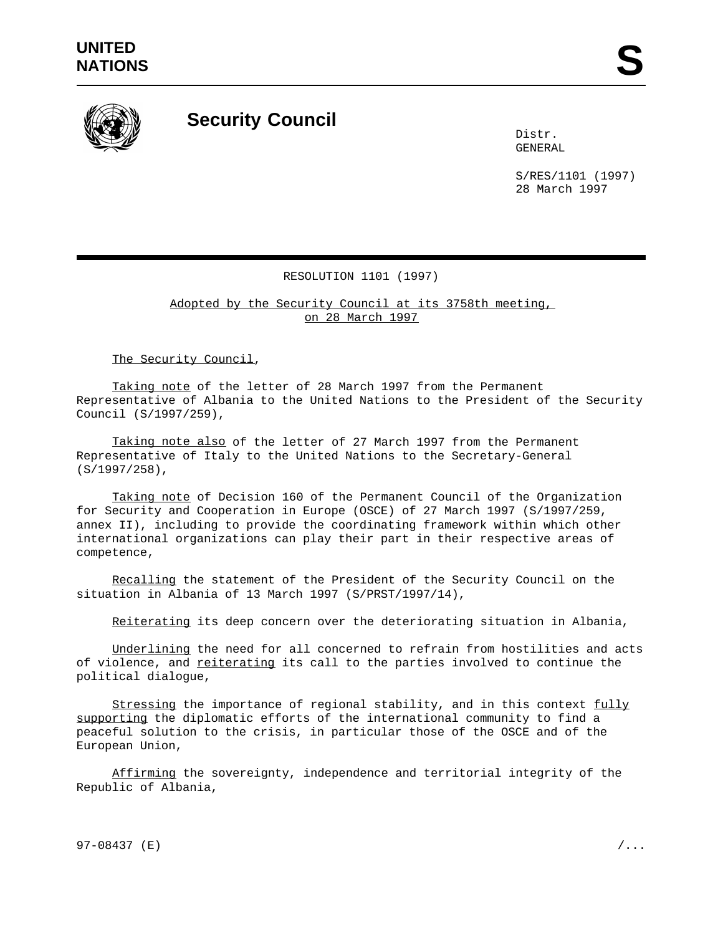

## **Security Council**

Distr. GENERAL

S/RES/1101 (1997) 28 March 1997

## RESOLUTION 1101 (1997)

Adopted by the Security Council at its 3758th meeting, on 28 March 1997

The Security Council,

Taking note of the letter of 28 March 1997 from the Permanent Representative of Albania to the United Nations to the President of the Security Council (S/1997/259),

Taking note also of the letter of 27 March 1997 from the Permanent Representative of Italy to the United Nations to the Secretary-General (S/1997/258),

Taking note of Decision 160 of the Permanent Council of the Organization for Security and Cooperation in Europe (OSCE) of 27 March 1997 (S/1997/259, annex II), including to provide the coordinating framework within which other international organizations can play their part in their respective areas of competence,

Recalling the statement of the President of the Security Council on the situation in Albania of 13 March 1997 (S/PRST/1997/14),

Reiterating its deep concern over the deteriorating situation in Albania,

Underlining the need for all concerned to refrain from hostilities and acts of violence, and reiterating its call to the parties involved to continue the political dialogue,

Stressing the importance of regional stability, and in this context fully supporting the diplomatic efforts of the international community to find a peaceful solution to the crisis, in particular those of the OSCE and of the European Union,

Affirming the sovereignty, independence and territorial integrity of the Republic of Albania,